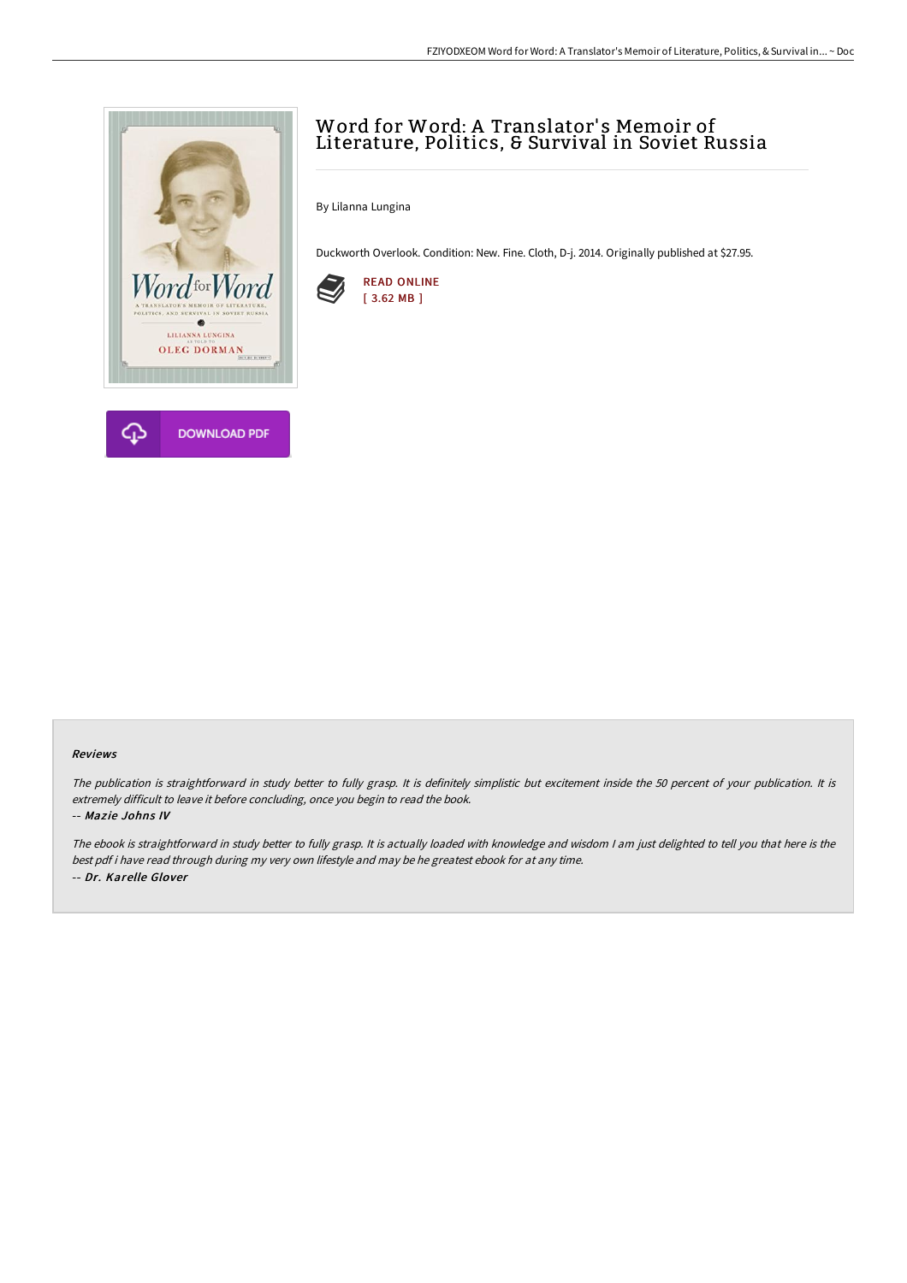

# Word for Word: A Translator' s Memoir of Literature, Politics, & Survival in Soviet Russia

By Lilanna Lungina

Duckworth Overlook. Condition: New. Fine. Cloth, D-j. 2014. Originally published at \$27.95.



## Reviews

The publication is straightforward in study better to fully grasp. It is definitely simplistic but excitement inside the 50 percent of your publication. It is extremely difficult to leave it before concluding, once you begin to read the book.

#### -- Mazie Johns IV

The ebook is straightforward in study better to fully grasp. It is actually loaded with knowledge and wisdom <sup>I</sup> am just delighted to tell you that here is the best pdf i have read through during my very own lifestyle and may be he greatest ebook for at any time. -- Dr. Karelle Glover